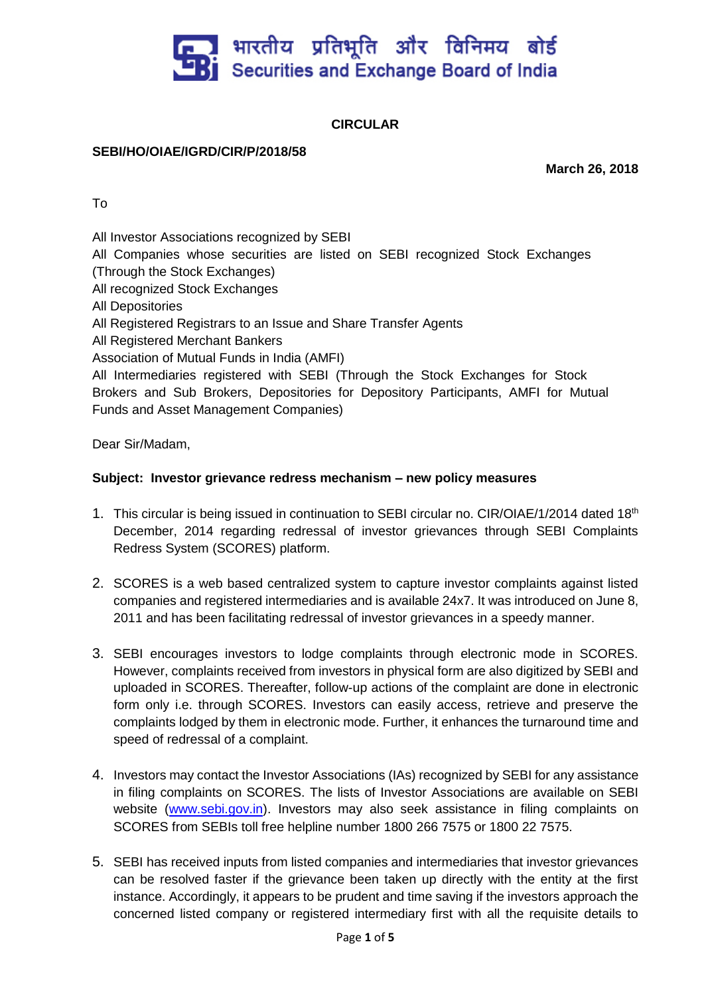

# **CIRCULAR**

## **SEBI/HO/OIAE/IGRD/CIR/P/2018/58**

**March 26, 2018** 

To

All Investor Associations recognized by SEBI

All Companies whose securities are listed on SEBI recognized Stock Exchanges (Through the Stock Exchanges)

All recognized Stock Exchanges

All Depositories

All Registered Registrars to an Issue and Share Transfer Agents

All Registered Merchant Bankers

Association of Mutual Funds in India (AMFI)

All Intermediaries registered with SEBI (Through the Stock Exchanges for Stock Brokers and Sub Brokers, Depositories for Depository Participants, AMFI for Mutual Funds and Asset Management Companies)

Dear Sir/Madam,

### **Subject: Investor grievance redress mechanism – new policy measures**

- 1. This circular is being issued in continuation to SEBI circular no. CIR/OIAE/1/2014 dated 18<sup>th</sup> December, 2014 regarding redressal of investor grievances through SEBI Complaints Redress System (SCORES) platform.
- 2. SCORES is a web based centralized system to capture investor complaints against listed companies and registered intermediaries and is available 24x7. It was introduced on June 8, 2011 and has been facilitating redressal of investor grievances in a speedy manner.
- 3. SEBI encourages investors to lodge complaints through electronic mode in SCORES. However, complaints received from investors in physical form are also digitized by SEBI and uploaded in SCORES. Thereafter, follow-up actions of the complaint are done in electronic form only i.e. through SCORES. Investors can easily access, retrieve and preserve the complaints lodged by them in electronic mode. Further, it enhances the turnaround time and speed of redressal of a complaint.
- 4. Investors may contact the Investor Associations (IAs) recognized by SEBI for any assistance in filing complaints on SCORES. The lists of Investor Associations are available on SEBI website [\(www.sebi.gov.in\)](http://www.sebi.gov.in/). Investors may also seek assistance in filing complaints on SCORES from SEBIs toll free helpline number 1800 266 7575 or 1800 22 7575.
- 5. SEBI has received inputs from listed companies and intermediaries that investor grievances can be resolved faster if the grievance been taken up directly with the entity at the first instance. Accordingly, it appears to be prudent and time saving if the investors approach the concerned listed company or registered intermediary first with all the requisite details to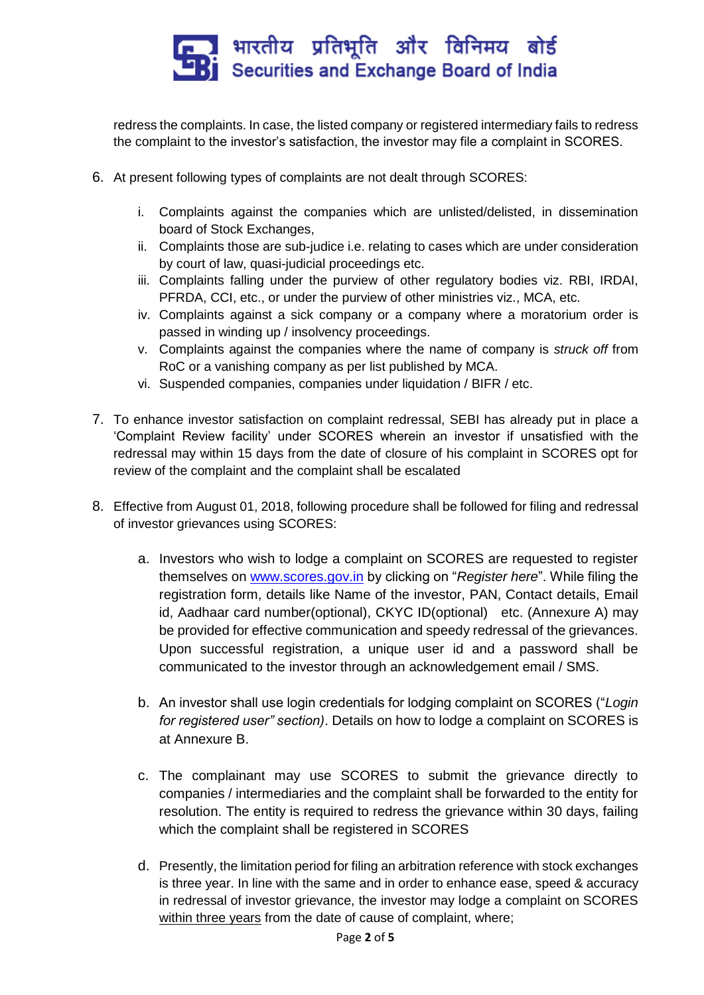

redress the complaints. In case, the listed company or registered intermediary fails to redress the complaint to the investor's satisfaction, the investor may file a complaint in SCORES.

- 6. At present following types of complaints are not dealt through SCORES:
	- i. Complaints against the companies which are unlisted/delisted, in dissemination board of Stock Exchanges,
	- ii. Complaints those are sub-judice i.e. relating to cases which are under consideration by court of law, quasi-judicial proceedings etc.
	- iii. Complaints falling under the purview of other regulatory bodies viz. RBI, IRDAI, PFRDA, CCI, etc., or under the purview of other ministries viz., MCA, etc.
	- iv. Complaints against a sick company or a company where a moratorium order is passed in winding up / insolvency proceedings.
	- v. Complaints against the companies where the name of company is *struck off* from RoC or a vanishing company as per list published by MCA.
	- vi. Suspended companies, companies under liquidation / BIFR / etc.
- 7. To enhance investor satisfaction on complaint redressal, SEBI has already put in place a 'Complaint Review facility' under SCORES wherein an investor if unsatisfied with the redressal may within 15 days from the date of closure of his complaint in SCORES opt for review of the complaint and the complaint shall be escalated
- 8. Effective from August 01, 2018, following procedure shall be followed for filing and redressal of investor grievances using SCORES:
	- a. Investors who wish to lodge a complaint on SCORES are requested to register themselves on [www.scores.gov.in](http://www.scores.gov.in/) by clicking on "*Register here*". While filing the registration form, details like Name of the investor, PAN, Contact details, Email id, Aadhaar card number(optional), CKYC ID(optional) etc. (Annexure A) may be provided for effective communication and speedy redressal of the grievances. Upon successful registration, a unique user id and a password shall be communicated to the investor through an acknowledgement email / SMS.
	- b. An investor shall use login credentials for lodging complaint on SCORES ("*Login for registered user" section)*. Details on how to lodge a complaint on SCORES is at Annexure B.
	- c. The complainant may use SCORES to submit the grievance directly to companies / intermediaries and the complaint shall be forwarded to the entity for resolution. The entity is required to redress the grievance within 30 days, failing which the complaint shall be registered in SCORES
	- d. Presently, the limitation period for filing an arbitration reference with stock exchanges is three year. In line with the same and in order to enhance ease, speed & accuracy in redressal of investor grievance, the investor may lodge a complaint on SCORES within three years from the date of cause of complaint, where;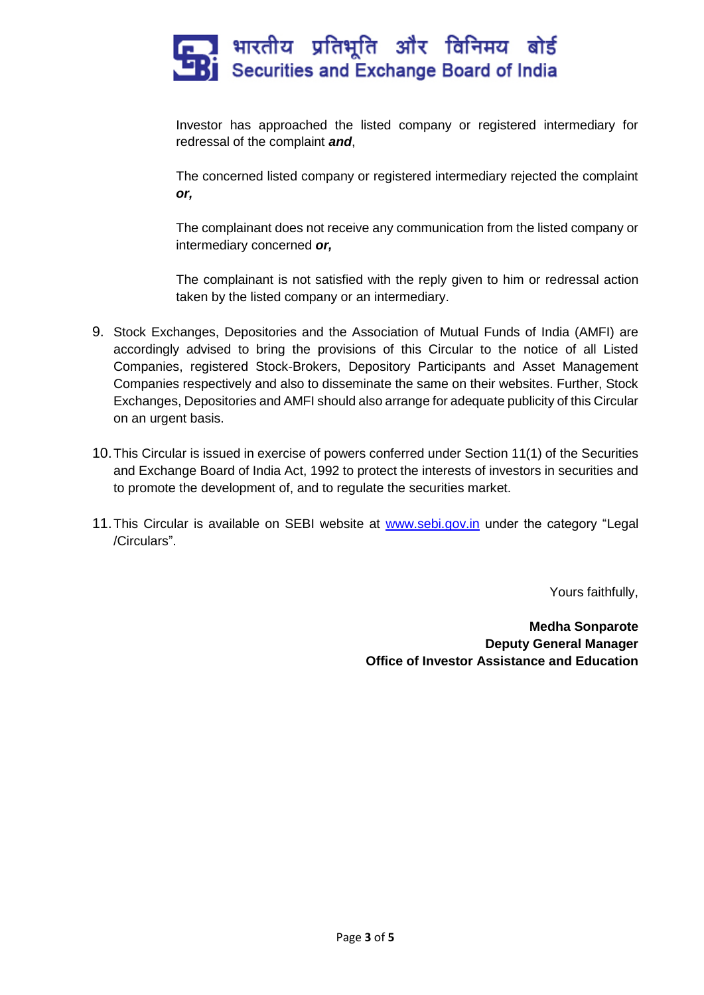# भारतीय प्रतिभूति और विनिमय बोर्ड Securities and Exchange Board of India

Investor has approached the listed company or registered intermediary for redressal of the complaint *and*,

The concerned listed company or registered intermediary rejected the complaint *or,*

The complainant does not receive any communication from the listed company or intermediary concerned *or,*

The complainant is not satisfied with the reply given to him or redressal action taken by the listed company or an intermediary.

- 9. Stock Exchanges, Depositories and the Association of Mutual Funds of India (AMFI) are accordingly advised to bring the provisions of this Circular to the notice of all Listed Companies, registered Stock-Brokers, Depository Participants and Asset Management Companies respectively and also to disseminate the same on their websites. Further, Stock Exchanges, Depositories and AMFI should also arrange for adequate publicity of this Circular on an urgent basis.
- 10.This Circular is issued in exercise of powers conferred under Section 11(1) of the Securities and Exchange Board of India Act, 1992 to protect the interests of investors in securities and to promote the development of, and to regulate the securities market.
- 11.This Circular is available on SEBI website at [www.sebi.gov.in](http://www.sebi.gov.in/) under the category "Legal /Circulars".

Yours faithfully,

**Medha Sonparote Deputy General Manager Office of Investor Assistance and Education**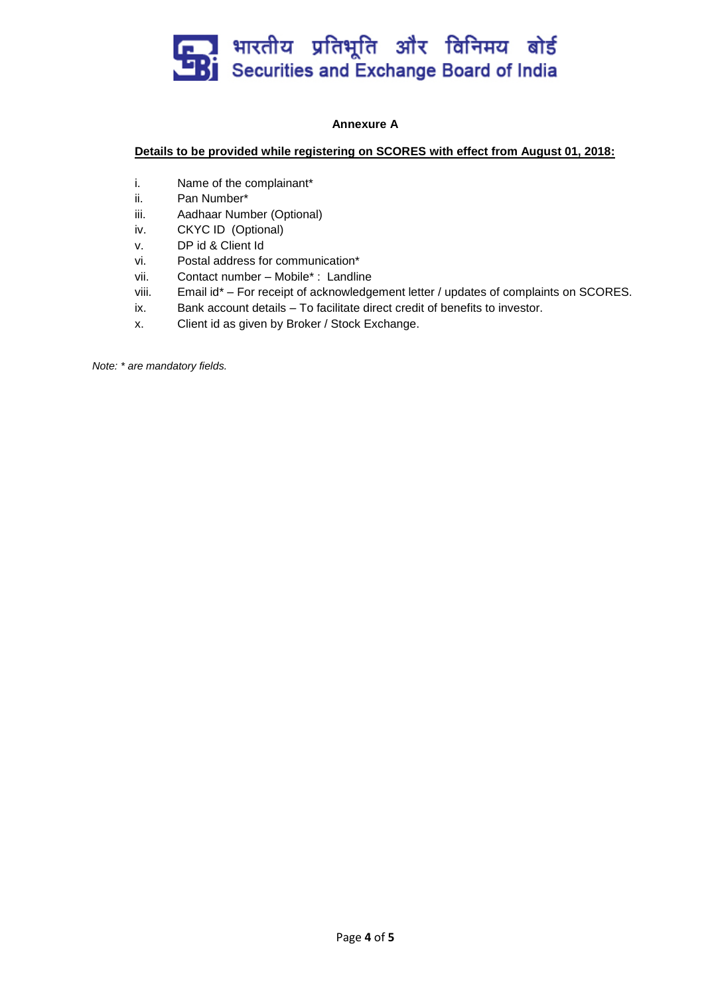# <u>. प्रारतीय प्रतिभूति और विनिमय बोर्ड</u> **B** Securities and Exchange Board of India

### **Annexure A**

### **Details to be provided while registering on SCORES with effect from August 01, 2018:**

- i. Name of the complainant\*
- ii. Pan Number\*
- iii. Aadhaar Number (Optional)
- iv. CKYC ID (Optional)
- v. DP id & Client Id
- vi. Postal address for communication\*
- vii. Contact number Mobile\* : Landline
- viii. Email id\* For receipt of acknowledgement letter / updates of complaints on SCORES.
- ix. Bank account details To facilitate direct credit of benefits to investor.
- x. Client id as given by Broker / Stock Exchange.

*Note: \* are mandatory fields.*